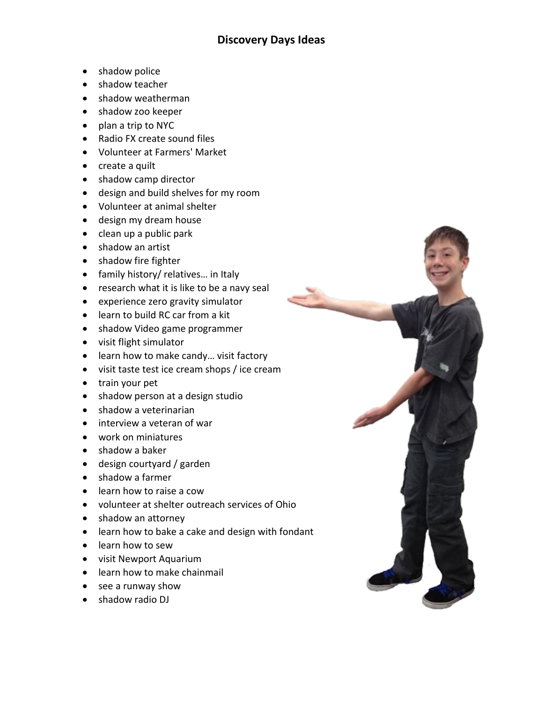- shadow police
- shadow teacher
- shadow weatherman
- shadow zoo keeper
- plan a trip to NYC
- Radio FX create sound files
- Volunteer at Farmers' Market
- create a quilt
- shadow camp director
- design and build shelves for my room
- Volunteer at animal shelter
- design my dream house
- clean up a public park
- shadow an artist
- shadow fire fighter
- family history/ relatives... in Italy
- research what it is like to be a navy seal
- experience zero gravity simulator
- learn to build RC car from a kit
- shadow Video game programmer
- visit flight simulator
- learn how to make candy... visit factory
- visit taste test ice cream shops / ice cream
- train your pet
- shadow person at a design studio
- shadow a veterinarian
- interview a veteran of war
- work on miniatures
- shadow a baker
- design courtyard / garden
- shadow a farmer
- learn how to raise a cow
- volunteer at shelter outreach services of Ohio
- shadow an attorney
- learn how to bake a cake and design with fondant
- learn how to sew
- visit Newport Aquarium
- learn how to make chainmail
- see a runway show
- shadow radio DJ

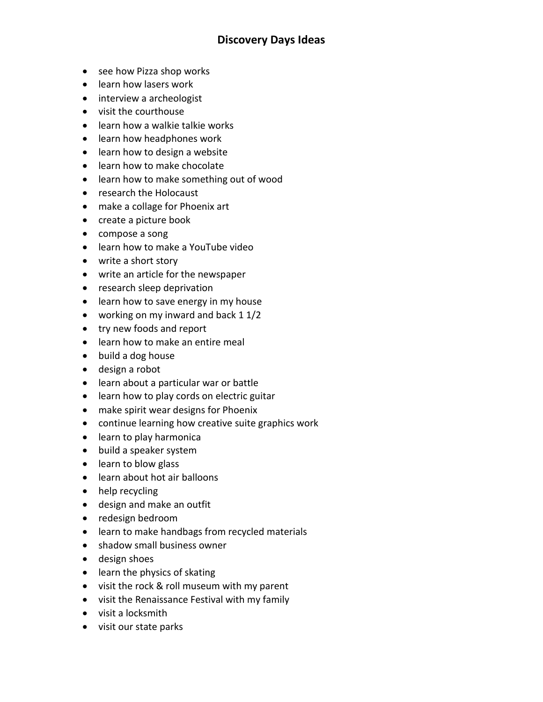- see how Pizza shop works
- learn how lasers work
- interview a archeologist
- visit the courthouse
- learn how a walkie talkie works
- **•** learn how headphones work
- learn how to design a website
- learn how to make chocolate
- learn how to make something out of wood
- research the Holocaust
- make a collage for Phoenix art
- create a picture book
- compose a song
- learn how to make a YouTube video
- write a short story
- write an article for the newspaper
- research sleep deprivation
- learn how to save energy in my house
- working on my inward and back 1 1/2
- try new foods and report
- learn how to make an entire meal
- build a dog house
- design a robot
- learn about a particular war or battle
- learn how to play cords on electric guitar
- make spirit wear designs for Phoenix
- continue learning how creative suite graphics work
- learn to play harmonica
- build a speaker system
- learn to blow glass
- learn about hot air balloons
- help recycling
- design and make an outfit
- redesign bedroom
- learn to make handbags from recycled materials
- shadow small business owner
- design shoes
- learn the physics of skating
- visit the rock & roll museum with my parent
- visit the Renaissance Festival with my family
- visit a locksmith
- visit our state parks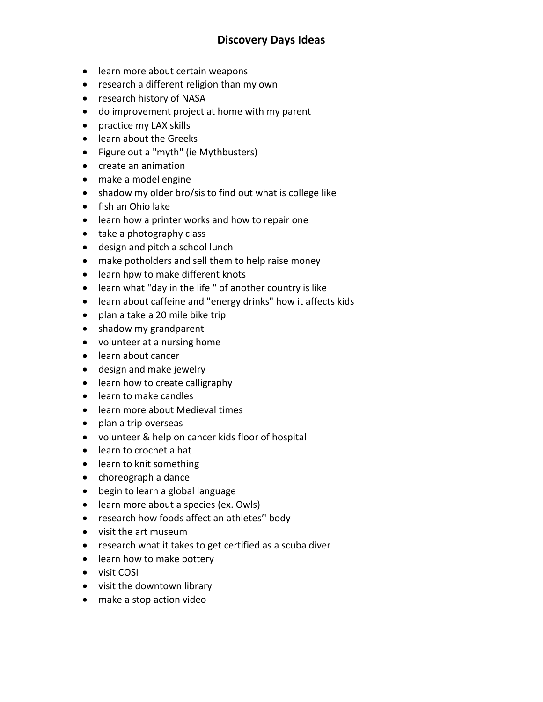- learn more about certain weapons
- research a different religion than my own
- research history of NASA
- do improvement project at home with my parent
- practice my LAX skills
- learn about the Greeks
- Figure out a "myth" (ie Mythbusters)
- create an animation
- make a model engine
- shadow my older bro/sis to find out what is college like
- fish an Ohio lake
- learn how a printer works and how to repair one
- take a photography class
- design and pitch a school lunch
- make potholders and sell them to help raise money
- learn hpw to make different knots
- learn what "day in the life " of another country is like
- learn about caffeine and "energy drinks" how it affects kids
- plan a take a 20 mile bike trip
- shadow my grandparent
- volunteer at a nursing home
- learn about cancer
- design and make jewelry
- learn how to create calligraphy
- learn to make candles
- learn more about Medieval times
- plan a trip overseas
- volunteer & help on cancer kids floor of hospital
- learn to crochet a hat
- learn to knit something
- choreograph a dance
- begin to learn a global language
- learn more about a species (ex. Owls)
- research how foods affect an athletes'' body
- visit the art museum
- research what it takes to get certified as a scuba diver
- learn how to make pottery
- visit COSI
- visit the downtown library
- make a stop action video